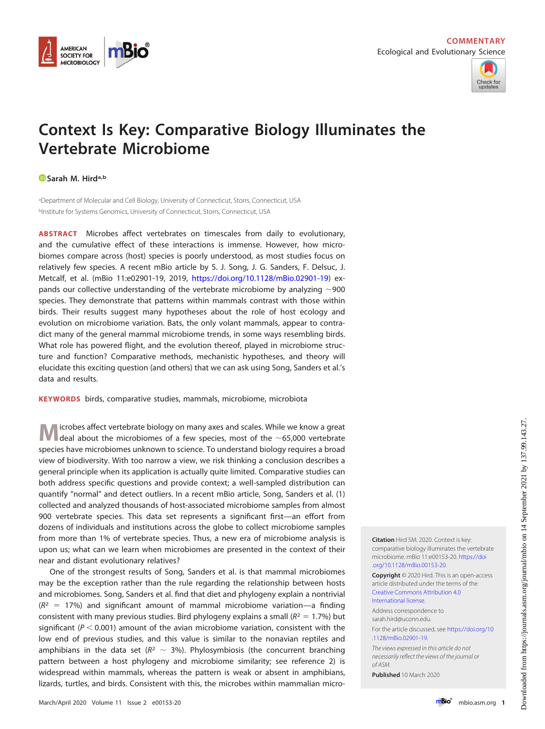



## **Context Is Key: Comparative Biology Illuminates the Vertebrate Microbiome**

## **[Sarah M. Hirda](https://orcid.org/0000-0002-1998-9387),b**

aDepartment of Molecular and Cell Biology, University of Connecticut, Storrs, Connecticut, USA bInstitute for Systems Genomics, University of Connecticut, Storrs, Connecticut, USA

**ABSTRACT** Microbes affect vertebrates on timescales from daily to evolutionary, and the cumulative effect of these interactions is immense. However, how microbiomes compare across (host) species is poorly understood, as most studies focus on relatively few species. A recent mBio article by S. J. Song, J. G. Sanders, F. Delsuc, J. Metcalf, et al. (mBio 11:e02901-19, 2019, [https://doi.org/10.1128/mBio.02901-19\)](https://doi.org/10.1128/mBio.02901-19) expands our collective understanding of the vertebrate microbiome by analyzing  $\sim$ 900 species. They demonstrate that patterns within mammals contrast with those within birds. Their results suggest many hypotheses about the role of host ecology and evolution on microbiome variation. Bats, the only volant mammals, appear to contradict many of the general mammal microbiome trends, in some ways resembling birds. What role has powered flight, and the evolution thereof, played in microbiome structure and function? Comparative methods, mechanistic hypotheses, and theory will elucidate this exciting question (and others) that we can ask using Song, Sanders et al.'s data and results.

**KEYWORDS** birds, comparative studies, mammals, microbiome, microbiota

**M** icrobes affect vertebrate biology on many axes and scales. While we know a great<br>deal about the microbiomes of a few species, most of the ~65,000 vertebrate species have microbiomes unknown to science. To understand biology requires a broad view of biodiversity. With too narrow a view, we risk thinking a conclusion describes a general principle when its application is actually quite limited. Comparative studies can both address specific questions and provide context; a well-sampled distribution can quantify "normal" and detect outliers. In a recent mBio article, Song, Sanders et al. [\(1\)](#page-3-0) collected and analyzed thousands of host-associated microbiome samples from almost 900 vertebrate species. This data set represents a significant first—an effort from dozens of individuals and institutions across the globe to collect microbiome samples from more than 1% of vertebrate species. Thus, a new era of microbiome analysis is upon us; what can we learn when microbiomes are presented in the context of their near and distant evolutionary relatives?

One of the strongest results of Song, Sanders et al. is that mammal microbiomes may be the exception rather than the rule regarding the relationship between hosts and microbiomes. Song, Sanders et al. find that diet and phylogeny explain a nontrivial  $(R<sup>2</sup> = 17%)$  and significant amount of mammal microbiome variation—a finding consistent with many previous studies. Bird phylogeny explains a small ( $R^2 = 1.7\%$ ) but significant ( $P < 0.001$ ) amount of the avian microbiome variation, consistent with the low end of previous studies, and this value is similar to the nonavian reptiles and amphibians in the data set ( $R^2 \sim 3\%$ ). Phylosymbiosis (the concurrent branching pattern between a host phylogeny and microbiome similarity; see reference [2\)](#page-3-1) is widespread within mammals, whereas the pattern is weak or absent in amphibians, lizards, turtles, and birds. Consistent with this, the microbes within mammalian micro**Citation** Hird SM. 2020. Context is key: comparative biology illuminates the vertebrate microbiome. mBio 11:e00153-20. [https://doi](https://doi.org/10.1128/mBio.00153-20) [.org/10.1128/mBio.00153-20.](https://doi.org/10.1128/mBio.00153-20)

**Copyright** © 2020 Hird. This is an open-access article distributed under the terms of the [Creative Commons Attribution 4.0](https://creativecommons.org/licenses/by/4.0/) [International license.](https://creativecommons.org/licenses/by/4.0/)

Address correspondence to [sarah.hird@uconn.edu.](mailto:sarah.hird@uconn.edu)

For the article discussed, see [https://doi.org/10](https://doi.org/10.1128/mBio.02901-19) [.1128/mBio.02901-19.](https://doi.org/10.1128/mBio.02901-19)

The views expressed in this article do not necessarily reflect the views of the journal or of ASM.

**Published** 10 March 2020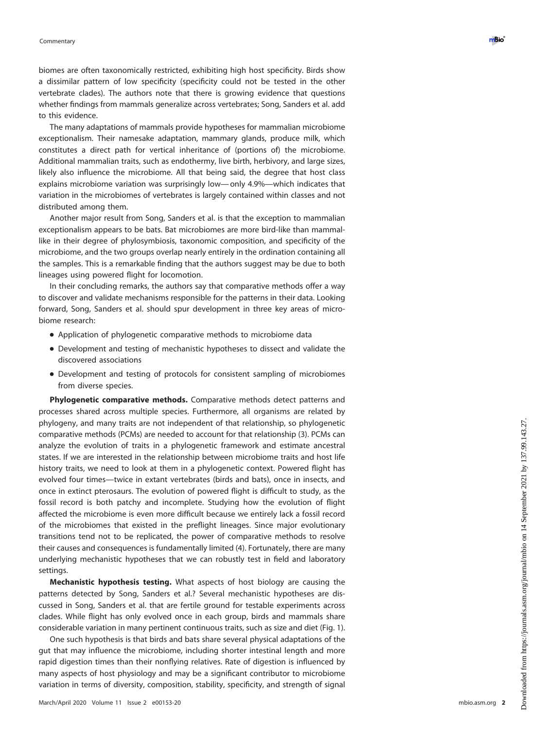biomes are often taxonomically restricted, exhibiting high host specificity. Birds show a dissimilar pattern of low specificity (specificity could not be tested in the other vertebrate clades). The authors note that there is growing evidence that questions whether findings from mammals generalize across vertebrates; Song, Sanders et al. add to this evidence.

The many adaptations of mammals provide hypotheses for mammalian microbiome exceptionalism. Their namesake adaptation, mammary glands, produce milk, which constitutes a direct path for vertical inheritance of (portions of) the microbiome. Additional mammalian traits, such as endothermy, live birth, herbivory, and large sizes, likely also influence the microbiome. All that being said, the degree that host class explains microbiome variation was surprisingly low— only 4.9%—which indicates that variation in the microbiomes of vertebrates is largely contained within classes and not distributed among them.

Another major result from Song, Sanders et al. is that the exception to mammalian exceptionalism appears to be bats. Bat microbiomes are more bird-like than mammallike in their degree of phylosymbiosis, taxonomic composition, and specificity of the microbiome, and the two groups overlap nearly entirely in the ordination containing all the samples. This is a remarkable finding that the authors suggest may be due to both lineages using powered flight for locomotion.

In their concluding remarks, the authors say that comparative methods offer a way to discover and validate mechanisms responsible for the patterns in their data. Looking forward, Song, Sanders et al. should spur development in three key areas of microbiome research:

- Application of phylogenetic comparative methods to microbiome data
- Development and testing of mechanistic hypotheses to dissect and validate the discovered associations
- Development and testing of protocols for consistent sampling of microbiomes from diverse species.

**Phylogenetic comparative methods.** Comparative methods detect patterns and processes shared across multiple species. Furthermore, all organisms are related by phylogeny, and many traits are not independent of that relationship, so phylogenetic comparative methods (PCMs) are needed to account for that relationship [\(3\)](#page-3-2). PCMs can analyze the evolution of traits in a phylogenetic framework and estimate ancestral states. If we are interested in the relationship between microbiome traits and host life history traits, we need to look at them in a phylogenetic context. Powered flight has evolved four times—twice in extant vertebrates (birds and bats), once in insects, and once in extinct pterosaurs. The evolution of powered flight is difficult to study, as the fossil record is both patchy and incomplete. Studying how the evolution of flight affected the microbiome is even more difficult because we entirely lack a fossil record of the microbiomes that existed in the preflight lineages. Since major evolutionary transitions tend not to be replicated, the power of comparative methods to resolve their causes and consequences is fundamentally limited [\(4\)](#page-3-3). Fortunately, there are many underlying mechanistic hypotheses that we can robustly test in field and laboratory settings.

**Mechanistic hypothesis testing.** What aspects of host biology are causing the patterns detected by Song, Sanders et al.? Several mechanistic hypotheses are discussed in Song, Sanders et al. that are fertile ground for testable experiments across clades. While flight has only evolved once in each group, birds and mammals share considerable variation in many pertinent continuous traits, such as size and diet [\(Fig. 1\)](#page-2-0).

One such hypothesis is that birds and bats share several physical adaptations of the gut that may influence the microbiome, including shorter intestinal length and more rapid digestion times than their nonflying relatives. Rate of digestion is influenced by many aspects of host physiology and may be a significant contributor to microbiome variation in terms of diversity, composition, stability, specificity, and strength of signal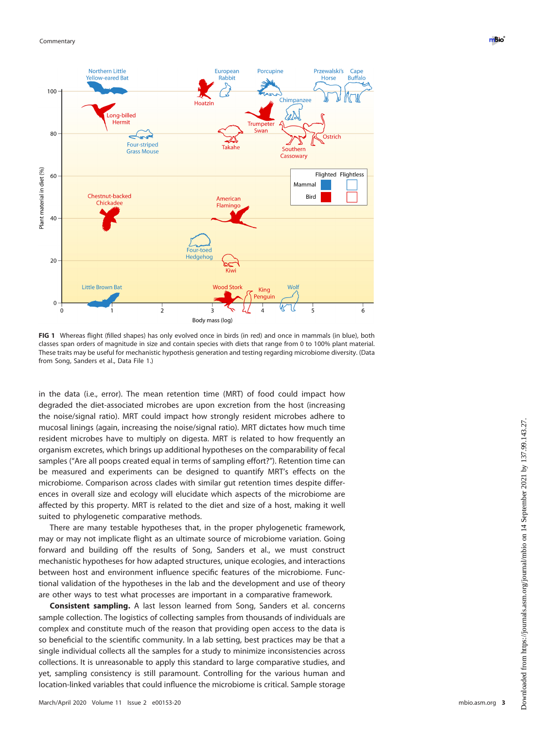

<span id="page-2-0"></span>**FIG 1** Whereas flight (filled shapes) has only evolved once in birds (in red) and once in mammals (in blue), both classes span orders of magnitude in size and contain species with diets that range from 0 to 100% plant material. These traits may be useful for mechanistic hypothesis generation and testing regarding microbiome diversity. (Data from Song, Sanders et al., Data File 1.)

in the data (i.e., error). The mean retention time (MRT) of food could impact how degraded the diet-associated microbes are upon excretion from the host (increasing the noise/signal ratio). MRT could impact how strongly resident microbes adhere to mucosal linings (again, increasing the noise/signal ratio). MRT dictates how much time resident microbes have to multiply on digesta. MRT is related to how frequently an organism excretes, which brings up additional hypotheses on the comparability of fecal samples ("Are all poops created equal in terms of sampling effort?"). Retention time can be measured and experiments can be designed to quantify MRT's effects on the microbiome. Comparison across clades with similar gut retention times despite differences in overall size and ecology will elucidate which aspects of the microbiome are affected by this property. MRT is related to the diet and size of a host, making it well suited to phylogenetic comparative methods.

There are many testable hypotheses that, in the proper phylogenetic framework, may or may not implicate flight as an ultimate source of microbiome variation. Going forward and building off the results of Song, Sanders et al., we must construct mechanistic hypotheses for how adapted structures, unique ecologies, and interactions between host and environment influence specific features of the microbiome. Functional validation of the hypotheses in the lab and the development and use of theory are other ways to test what processes are important in a comparative framework.

**Consistent sampling.** A last lesson learned from Song, Sanders et al. concerns sample collection. The logistics of collecting samples from thousands of individuals are complex and constitute much of the reason that providing open access to the data is so beneficial to the scientific community. In a lab setting, best practices may be that a single individual collects all the samples for a study to minimize inconsistencies across collections. It is unreasonable to apply this standard to large comparative studies, and yet, sampling consistency is still paramount. Controlling for the various human and location-linked variables that could influence the microbiome is critical. Sample storage